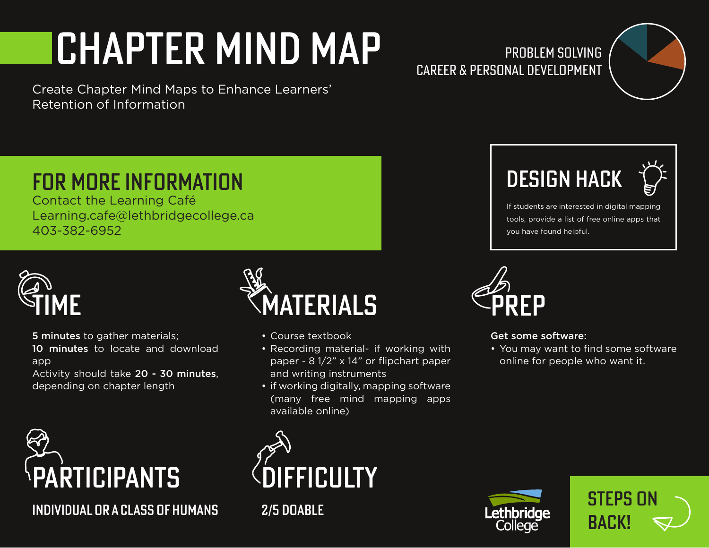## CHapter Mind Map

Create Chapter Mind Maps to Enhance Learners' Retention of Information

## Problem Solving Career & Personal Development





If students are interested in digital mapping tools, provide a list of free online apps that you have found helpful.



## Get some software:

• You may want to find some software online for people who want it.

## FOR MORE INFORMATION DESIGN HACK

Contact the Learning Café Learning.cafe@lethbridgecollege.ca 403-382-6952



5 minutes to gather materials; 10 minutes to locate and download app

Activity should take 20 - 30 minutes, depending on chapter length



individual or a class of humans 2/5 doable



- Course textbook
- Recording material- if working with paper - 8 1/2" x 14" or flipchart paper and writing instruments
- if working digitally, mapping software (many free mind mapping apps available online)